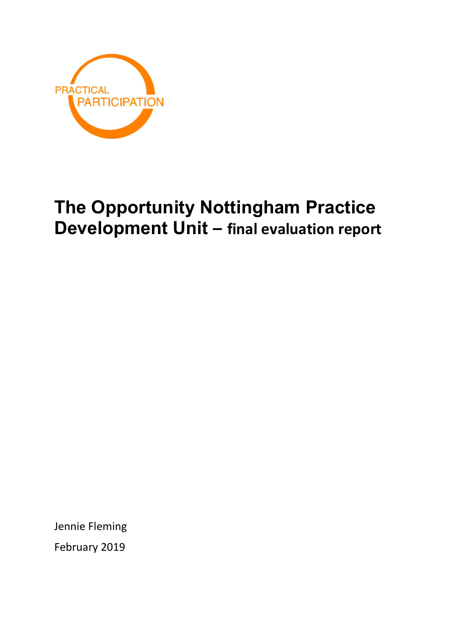

# The Opportunity Nottingham Practice Development Unit – final evaluation report

Jennie Fleming February 2019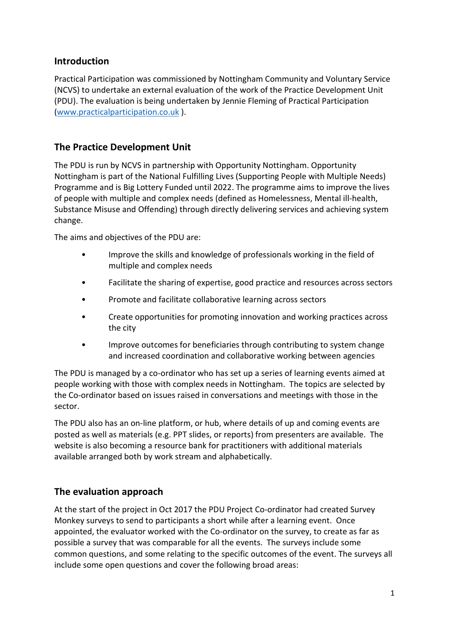## Introduction

Practical Participation was commissioned by Nottingham Community and Voluntary Service (NCVS) to undertake an external evaluation of the work of the Practice Development Unit (PDU). The evaluation is being undertaken by Jennie Fleming of Practical Participation (www.practicalparticipation.co.uk ).

# The Practice Development Unit

The PDU is run by NCVS in partnership with Opportunity Nottingham. Opportunity Nottingham is part of the National Fulfilling Lives (Supporting People with Multiple Needs) Programme and is Big Lottery Funded until 2022. The programme aims to improve the lives of people with multiple and complex needs (defined as Homelessness, Mental ill-health, Substance Misuse and Offending) through directly delivering services and achieving system change.

The aims and objectives of the PDU are:

- Improve the skills and knowledge of professionals working in the field of multiple and complex needs
- Facilitate the sharing of expertise, good practice and resources across sectors
- Promote and facilitate collaborative learning across sectors
- Create opportunities for promoting innovation and working practices across the city
- Improve outcomes for beneficiaries through contributing to system change and increased coordination and collaborative working between agencies

The PDU is managed by a co-ordinator who has set up a series of learning events aimed at people working with those with complex needs in Nottingham. The topics are selected by the Co-ordinator based on issues raised in conversations and meetings with those in the sector.

The PDU also has an on-line platform, or hub, where details of up and coming events are posted as well as materials (e.g. PPT slides, or reports) from presenters are available. The website is also becoming a resource bank for practitioners with additional materials available arranged both by work stream and alphabetically.

# The evaluation approach

At the start of the project in Oct 2017 the PDU Project Co-ordinator had created Survey Monkey surveys to send to participants a short while after a learning event. Once appointed, the evaluator worked with the Co-ordinator on the survey, to create as far as possible a survey that was comparable for all the events. The surveys include some common questions, and some relating to the specific outcomes of the event. The surveys all include some open questions and cover the following broad areas: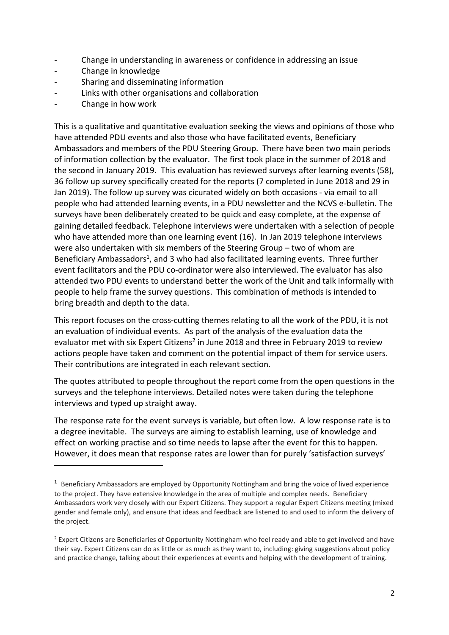- Change in understanding in awareness or confidence in addressing an issue
- Change in knowledge
- Sharing and disseminating information
- Links with other organisations and collaboration
- Change in how work

-

This is a qualitative and quantitative evaluation seeking the views and opinions of those who have attended PDU events and also those who have facilitated events, Beneficiary Ambassadors and members of the PDU Steering Group. There have been two main periods of information collection by the evaluator. The first took place in the summer of 2018 and the second in January 2019. This evaluation has reviewed surveys after learning events (58), 36 follow up survey specifically created for the reports (7 completed in June 2018 and 29 in Jan 2019). The follow up survey was cicurated widely on both occasions - via email to all people who had attended learning events, in a PDU newsletter and the NCVS e-bulletin. The surveys have been deliberately created to be quick and easy complete, at the expense of gaining detailed feedback. Telephone interviews were undertaken with a selection of people who have attended more than one learning event (16). In Jan 2019 telephone interviews were also undertaken with six members of the Steering Group – two of whom are Beneficiary Ambassadors<sup>1</sup>, and 3 who had also facilitated learning events. Three further event facilitators and the PDU co-ordinator were also interviewed. The evaluator has also attended two PDU events to understand better the work of the Unit and talk informally with people to help frame the survey questions. This combination of methods is intended to bring breadth and depth to the data.

This report focuses on the cross-cutting themes relating to all the work of the PDU, it is not an evaluation of individual events. As part of the analysis of the evaluation data the evaluator met with six Expert Citizens<sup>2</sup> in June 2018 and three in February 2019 to review actions people have taken and comment on the potential impact of them for service users. Their contributions are integrated in each relevant section.

The quotes attributed to people throughout the report come from the open questions in the surveys and the telephone interviews. Detailed notes were taken during the telephone interviews and typed up straight away.

The response rate for the event surveys is variable, but often low. A low response rate is to a degree inevitable. The surveys are aiming to establish learning, use of knowledge and effect on working practise and so time needs to lapse after the event for this to happen. However, it does mean that response rates are lower than for purely 'satisfaction surveys'

<sup>&</sup>lt;sup>1</sup> Beneficiary Ambassadors are employed by Opportunity Nottingham and bring the voice of lived experience to the project. They have extensive knowledge in the area of multiple and complex needs. Beneficiary Ambassadors work very closely with our Expert Citizens. They support a regular Expert Citizens meeting (mixed gender and female only), and ensure that ideas and feedback are listened to and used to inform the delivery of the project.

<sup>&</sup>lt;sup>2</sup> Expert Citizens are Beneficiaries of Opportunity Nottingham who feel ready and able to get involved and have their say. Expert Citizens can do as little or as much as they want to, including: giving suggestions about policy and practice change, talking about their experiences at events and helping with the development of training.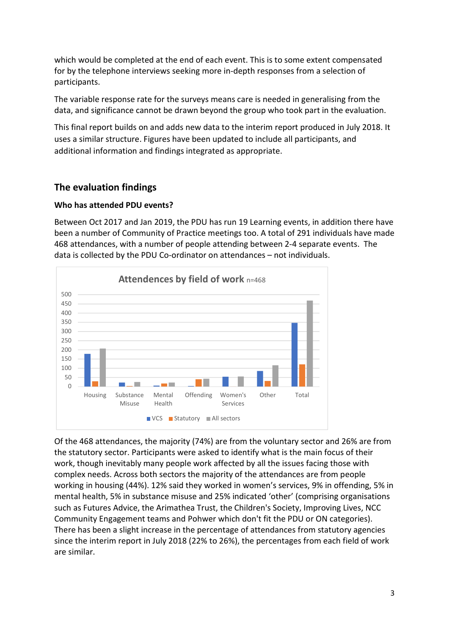which would be completed at the end of each event. This is to some extent compensated for by the telephone interviews seeking more in-depth responses from a selection of participants.

The variable response rate for the surveys means care is needed in generalising from the data, and significance cannot be drawn beyond the group who took part in the evaluation.

This final report builds on and adds new data to the interim report produced in July 2018. It uses a similar structure. Figures have been updated to include all participants, and additional information and findings integrated as appropriate.

# The evaluation findings

## Who has attended PDU events?

Between Oct 2017 and Jan 2019, the PDU has run 19 Learning events, in addition there have been a number of Community of Practice meetings too. A total of 291 individuals have made 468 attendances, with a number of people attending between 2-4 separate events. The data is collected by the PDU Co-ordinator on attendances – not individuals.



Of the 468 attendances, the majority (74%) are from the voluntary sector and 26% are from the statutory sector. Participants were asked to identify what is the main focus of their work, though inevitably many people work affected by all the issues facing those with complex needs. Across both sectors the majority of the attendances are from people working in housing (44%). 12% said they worked in women's services, 9% in offending, 5% in mental health, 5% in substance misuse and 25% indicated 'other' (comprising organisations such as Futures Advice, the Arimathea Trust, the Children's Society, Improving Lives, NCC Community Engagement teams and Pohwer which don't fit the PDU or ON categories). There has been a slight increase in the percentage of attendances from statutory agencies since the interim report in July 2018 (22% to 26%), the percentages from each field of work are similar.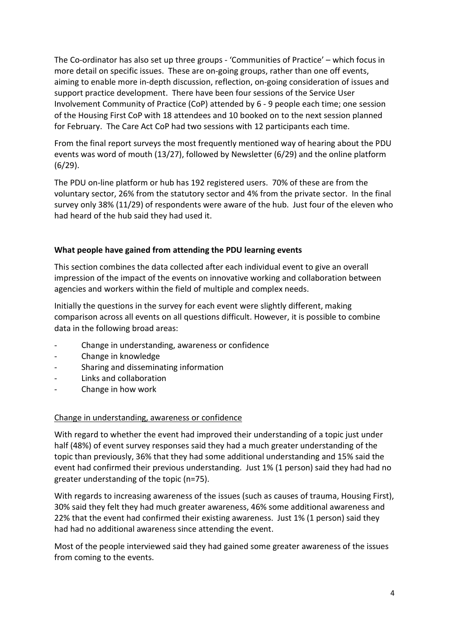The Co-ordinator has also set up three groups - 'Communities of Practice' – which focus in more detail on specific issues. These are on-going groups, rather than one off events, aiming to enable more in-depth discussion, reflection, on-going consideration of issues and support practice development. There have been four sessions of the Service User Involvement Community of Practice (CoP) attended by 6 - 9 people each time; one session of the Housing First CoP with 18 attendees and 10 booked on to the next session planned for February. The Care Act CoP had two sessions with 12 participants each time.

From the final report surveys the most frequently mentioned way of hearing about the PDU events was word of mouth (13/27), followed by Newsletter (6/29) and the online platform (6/29).

The PDU on-line platform or hub has 192 registered users. 70% of these are from the voluntary sector, 26% from the statutory sector and 4% from the private sector. In the final survey only 38% (11/29) of respondents were aware of the hub. Just four of the eleven who had heard of the hub said they had used it.

## What people have gained from attending the PDU learning events

This section combines the data collected after each individual event to give an overall impression of the impact of the events on innovative working and collaboration between agencies and workers within the field of multiple and complex needs.

Initially the questions in the survey for each event were slightly different, making comparison across all events on all questions difficult. However, it is possible to combine data in the following broad areas:

- Change in understanding, awareness or confidence
- Change in knowledge
- Sharing and disseminating information
- Links and collaboration
- Change in how work

#### Change in understanding, awareness or confidence

With regard to whether the event had improved their understanding of a topic just under half (48%) of event survey responses said they had a much greater understanding of the topic than previously, 36% that they had some additional understanding and 15% said the event had confirmed their previous understanding. Just 1% (1 person) said they had had no greater understanding of the topic (n=75).

With regards to increasing awareness of the issues (such as causes of trauma, Housing First), 30% said they felt they had much greater awareness, 46% some additional awareness and 22% that the event had confirmed their existing awareness. Just 1% (1 person) said they had had no additional awareness since attending the event.

Most of the people interviewed said they had gained some greater awareness of the issues from coming to the events.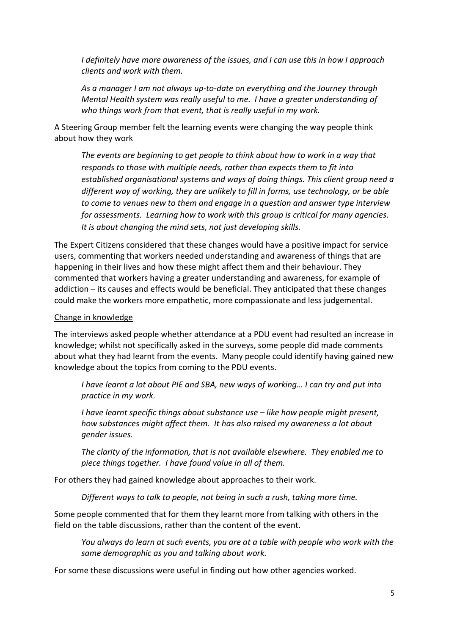I definitely have more awareness of the issues, and I can use this in how I approach clients and work with them.

As a manager I am not always up-to-date on everything and the Journey through Mental Health system was really useful to me. I have a greater understanding of who things work from that event, that is really useful in my work.

A Steering Group member felt the learning events were changing the way people think about how they work

The events are beginning to get people to think about how to work in a way that responds to those with multiple needs, rather than expects them to fit into established organisational systems and ways of doing things. This client group need a different way of working, they are unlikely to fill in forms, use technology, or be able to come to venues new to them and engage in a question and answer type interview for assessments. Learning how to work with this group is critical for many agencies. It is about changing the mind sets, not just developing skills.

The Expert Citizens considered that these changes would have a positive impact for service users, commenting that workers needed understanding and awareness of things that are happening in their lives and how these might affect them and their behaviour. They commented that workers having a greater understanding and awareness, for example of addiction – its causes and effects would be beneficial. They anticipated that these changes could make the workers more empathetic, more compassionate and less judgemental.

#### Change in knowledge

The interviews asked people whether attendance at a PDU event had resulted an increase in knowledge; whilst not specifically asked in the surveys, some people did made comments about what they had learnt from the events. Many people could identify having gained new knowledge about the topics from coming to the PDU events.

I have learnt a lot about PIE and SBA, new ways of working… I can try and put into practice in my work.

I have learnt specific things about substance use – like how people might present, how substances might affect them. It has also raised my awareness a lot about gender issues.

The clarity of the information, that is not available elsewhere. They enabled me to piece things together. I have found value in all of them.

For others they had gained knowledge about approaches to their work.

Different ways to talk to people, not being in such a rush, taking more time.

Some people commented that for them they learnt more from talking with others in the field on the table discussions, rather than the content of the event.

You always do learn at such events, you are at a table with people who work with the same demographic as you and talking about work.

For some these discussions were useful in finding out how other agencies worked.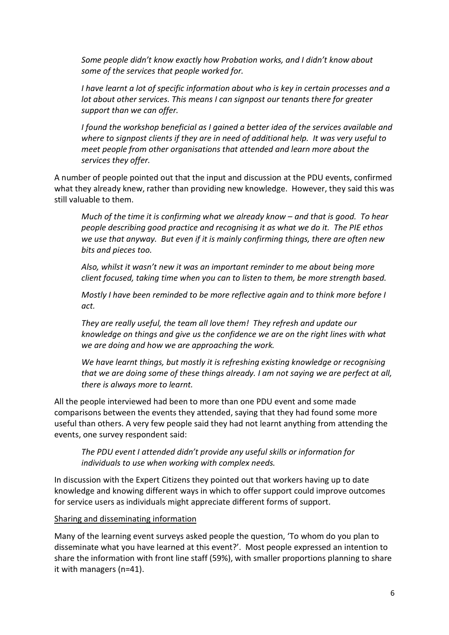Some people didn't know exactly how Probation works, and I didn't know about some of the services that people worked for.

I have learnt a lot of specific information about who is key in certain processes and a lot about other services. This means I can signpost our tenants there for greater support than we can offer.

I found the workshop beneficial as I gained a better idea of the services available and where to signpost clients if they are in need of additional help. It was very useful to meet people from other organisations that attended and learn more about the services they offer.

A number of people pointed out that the input and discussion at the PDU events, confirmed what they already knew, rather than providing new knowledge. However, they said this was still valuable to them.

Much of the time it is confirming what we already know – and that is good. To hear people describing good practice and recognising it as what we do it. The PIE ethos we use that anyway. But even if it is mainly confirming things, there are often new bits and pieces too.

Also, whilst it wasn't new it was an important reminder to me about being more client focused, taking time when you can to listen to them, be more strength based.

Mostly I have been reminded to be more reflective again and to think more before I act.

They are really useful, the team all love them! They refresh and update our knowledge on things and give us the confidence we are on the right lines with what we are doing and how we are approaching the work.

We have learnt things, but mostly it is refreshing existing knowledge or recognising that we are doing some of these things already. I am not saying we are perfect at all, there is always more to learnt.

All the people interviewed had been to more than one PDU event and some made comparisons between the events they attended, saying that they had found some more useful than others. A very few people said they had not learnt anything from attending the events, one survey respondent said:

The PDU event I attended didn't provide any useful skills or information for individuals to use when working with complex needs.

In discussion with the Expert Citizens they pointed out that workers having up to date knowledge and knowing different ways in which to offer support could improve outcomes for service users as individuals might appreciate different forms of support.

#### Sharing and disseminating information

Many of the learning event surveys asked people the question, 'To whom do you plan to disseminate what you have learned at this event?'. Most people expressed an intention to share the information with front line staff (59%), with smaller proportions planning to share it with managers (n=41).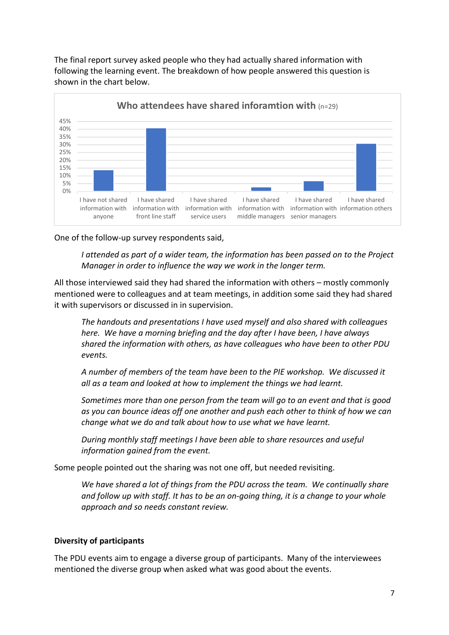The final report survey asked people who they had actually shared information with following the learning event. The breakdown of how people answered this question is shown in the chart below.



One of the follow-up survey respondents said,

I attended as part of a wider team, the information has been passed on to the Project Manager in order to influence the way we work in the longer term.

All those interviewed said they had shared the information with others – mostly commonly mentioned were to colleagues and at team meetings, in addition some said they had shared it with supervisors or discussed in in supervision.

The handouts and presentations I have used myself and also shared with colleagues here. We have a morning briefing and the day after I have been, I have always shared the information with others, as have colleagues who have been to other PDU events.

A number of members of the team have been to the PIE workshop. We discussed it all as a team and looked at how to implement the things we had learnt.

Sometimes more than one person from the team will go to an event and that is good as you can bounce ideas off one another and push each other to think of how we can change what we do and talk about how to use what we have learnt.

During monthly staff meetings I have been able to share resources and useful information gained from the event.

Some people pointed out the sharing was not one off, but needed revisiting.

We have shared a lot of thinas from the PDU across the team. We continually share and follow up with staff. It has to be an on-going thing, it is a change to your whole approach and so needs constant review.

## Diversity of participants

The PDU events aim to engage a diverse group of participants. Many of the interviewees mentioned the diverse group when asked what was good about the events.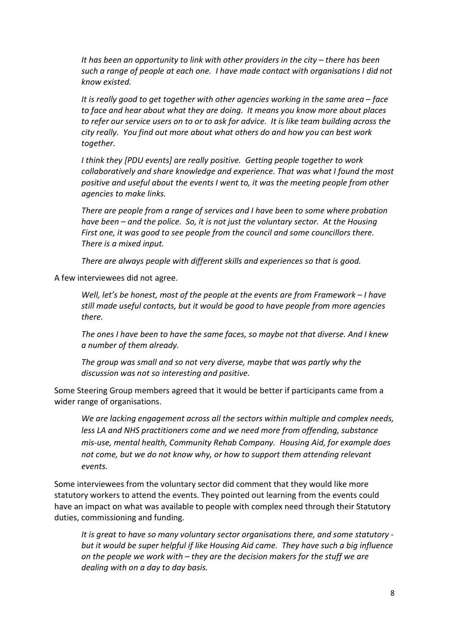It has been an opportunity to link with other providers in the city – there has been such a range of people at each one. I have made contact with organisations I did not know existed.

It is really good to get together with other agencies working in the same area – face to face and hear about what they are doing. It means you know more about places to refer our service users on to or to ask for advice. It is like team building across the city really. You find out more about what others do and how you can best work together.

I think they [PDU events] are really positive. Getting people together to work collaboratively and share knowledge and experience. That was what I found the most positive and useful about the events I went to, it was the meeting people from other agencies to make links.

There are people from a range of services and I have been to some where probation have been – and the police. So, it is not just the voluntary sector. At the Housing First one, it was good to see people from the council and some councillors there. There is a mixed input.

There are always people with different skills and experiences so that is good.

A few interviewees did not agree.

Well, let's be honest, most of the people at the events are from Framework - I have still made useful contacts, but it would be good to have people from more agencies there.

The ones I have been to have the same faces, so maybe not that diverse. And I knew a number of them already.

The group was small and so not very diverse, maybe that was partly why the discussion was not so interesting and positive.

Some Steering Group members agreed that it would be better if participants came from a wider range of organisations.

We are lacking engagement across all the sectors within multiple and complex needs, less LA and NHS practitioners come and we need more from offending, substance mis-use, mental health, Community Rehab Company. Housing Aid, for example does not come, but we do not know why, or how to support them attending relevant events.

Some interviewees from the voluntary sector did comment that they would like more statutory workers to attend the events. They pointed out learning from the events could have an impact on what was available to people with complex need through their Statutory duties, commissioning and funding.

It is great to have so many voluntary sector organisations there, and some statutory but it would be super helpful if like Housing Aid came. They have such a big influence on the people we work with – they are the decision makers for the stuff we are dealing with on a day to day basis.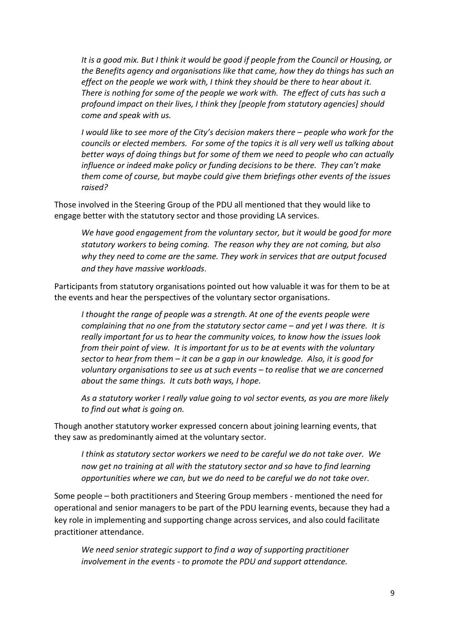It is a good mix. But I think it would be good if people from the Council or Housing, or the Benefits agency and organisations like that came, how they do things has such an effect on the people we work with, I think they should be there to hear about it. There is nothing for some of the people we work with. The effect of cuts has such a profound impact on their lives, I think they [people from statutory agencies] should come and speak with us.

I would like to see more of the City's decision makers there – people who work for the councils or elected members. For some of the topics it is all very well us talking about better ways of doing things but for some of them we need to people who can actually influence or indeed make policy or funding decisions to be there. They can't make them come of course, but maybe could give them briefings other events of the issues raised?

Those involved in the Steering Group of the PDU all mentioned that they would like to engage better with the statutory sector and those providing LA services.

We have good engagement from the voluntary sector, but it would be good for more statutory workers to being coming. The reason why they are not coming, but also why they need to come are the same. They work in services that are output focused and they have massive workloads.

Participants from statutory organisations pointed out how valuable it was for them to be at the events and hear the perspectives of the voluntary sector organisations.

I thought the range of people was a strength. At one of the events people were complaining that no one from the statutory sector came – and yet I was there. It is really important for us to hear the community voices, to know how the issues look from their point of view. It is important for us to be at events with the voluntary sector to hear from them – it can be a gap in our knowledge. Also, it is good for voluntary organisations to see us at such events – to realise that we are concerned about the same things. It cuts both ways, I hope.

As a statutory worker I really value going to vol sector events, as you are more likely to find out what is going on.

Though another statutory worker expressed concern about joining learning events, that they saw as predominantly aimed at the voluntary sector.

I think as statutory sector workers we need to be careful we do not take over. We now get no training at all with the statutory sector and so have to find learning opportunities where we can, but we do need to be careful we do not take over.

Some people – both practitioners and Steering Group members - mentioned the need for operational and senior managers to be part of the PDU learning events, because they had a key role in implementing and supporting change across services, and also could facilitate practitioner attendance.

We need senior strategic support to find a way of supporting practitioner involvement in the events - to promote the PDU and support attendance.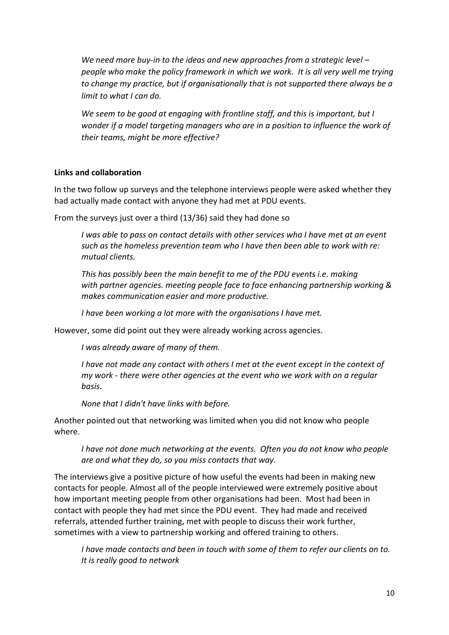We need more buy-in to the ideas and new approaches from a strategic level  $$ people who make the policy framework in which we work. It is all very well me trying to change my practice, but if organisationally that is not supported there always be a limit to what I can do.

We seem to be good at engaging with frontline staff, and this is important, but I wonder if a model targeting managers who are in a position to influence the work of their teams, might be more effective?

#### Links and collaboration

In the two follow up surveys and the telephone interviews people were asked whether they had actually made contact with anyone they had met at PDU events.

From the surveys just over a third (13/36) said they had done so

I was able to pass on contact details with other services who I have met at an event such as the homeless prevention team who I have then been able to work with re: mutual clients.

This has possibly been the main benefit to me of the PDU events i.e. making with partner agencies. meeting people face to face enhancing partnership working & makes communication easier and more productive.

I have been working a lot more with the organisations I have met.

However, some did point out they were already working across agencies.

I was already aware of many of them.

I have not made any contact with others I met at the event except in the context of my work - there were other agencies at the event who we work with on a regular basis.

None that I didn't have links with before.

Another pointed out that networking was limited when you did not know who people where.

I have not done much networking at the events. Often you do not know who people are and what they do, so you miss contacts that way.

The interviews give a positive picture of how useful the events had been in making new contacts for people. Almost all of the people interviewed were extremely positive about how important meeting people from other organisations had been. Most had been in contact with people they had met since the PDU event. They had made and received referrals, attended further training, met with people to discuss their work further, sometimes with a view to partnership working and offered training to others.

I have made contacts and been in touch with some of them to refer our clients on to. It is really good to network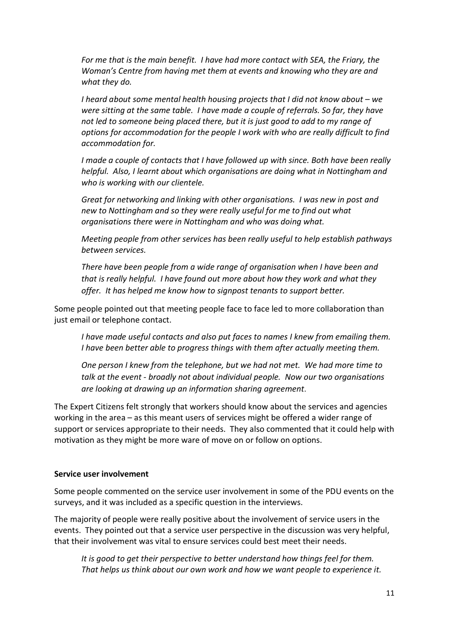For me that is the main benefit. I have had more contact with SEA, the Friary, the Woman's Centre from having met them at events and knowing who they are and what they do.

I heard about some mental health housing projects that I did not know about – we were sitting at the same table. I have made a couple of referrals. So far, they have not led to someone being placed there, but it is just good to add to my range of options for accommodation for the people I work with who are really difficult to find accommodation for.

I made a couple of contacts that I have followed up with since. Both have been really helpful. Also, I learnt about which organisations are doing what in Nottingham and who is working with our clientele.

Great for networking and linking with other organisations. I was new in post and new to Nottingham and so they were really useful for me to find out what organisations there were in Nottingham and who was doing what.

Meeting people from other services has been really useful to help establish pathways between services.

There have been people from a wide range of organisation when I have been and that is really helpful. I have found out more about how they work and what they offer. It has helped me know how to signpost tenants to support better.

Some people pointed out that meeting people face to face led to more collaboration than just email or telephone contact.

I have made useful contacts and also put faces to names I knew from emailing them. I have been better able to progress things with them after actually meeting them.

One person I knew from the telephone, but we had not met. We had more time to talk at the event - broadly not about individual people. Now our two organisations are looking at drawing up an information sharing agreement.

The Expert Citizens felt strongly that workers should know about the services and agencies working in the area – as this meant users of services might be offered a wider range of support or services appropriate to their needs. They also commented that it could help with motivation as they might be more ware of move on or follow on options.

#### Service user involvement

Some people commented on the service user involvement in some of the PDU events on the surveys, and it was included as a specific question in the interviews.

The majority of people were really positive about the involvement of service users in the events. They pointed out that a service user perspective in the discussion was very helpful, that their involvement was vital to ensure services could best meet their needs.

It is good to get their perspective to better understand how things feel for them. That helps us think about our own work and how we want people to experience it.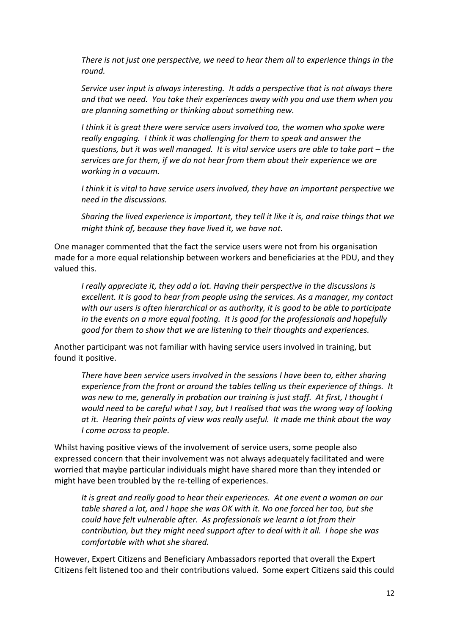There is not just one perspective, we need to hear them all to experience things in the round.

Service user input is always interesting. It adds a perspective that is not always there and that we need. You take their experiences away with you and use them when you are planning something or thinking about something new.

I think it is great there were service users involved too, the women who spoke were really engaging. I think it was challenging for them to speak and answer the questions, but it was well managed. It is vital service users are able to take part – the services are for them, if we do not hear from them about their experience we are working in a vacuum.

I think it is vital to have service users involved, they have an important perspective we need in the discussions.

Sharing the lived experience is important, they tell it like it is, and raise things that we might think of, because they have lived it, we have not.

One manager commented that the fact the service users were not from his organisation made for a more equal relationship between workers and beneficiaries at the PDU, and they valued this.

I really appreciate it, they add a lot. Having their perspective in the discussions is excellent. It is good to hear from people using the services. As a manager, my contact with our users is often hierarchical or as authority, it is good to be able to participate in the events on a more equal footing. It is good for the professionals and hopefully good for them to show that we are listening to their thoughts and experiences.

Another participant was not familiar with having service users involved in training, but found it positive.

There have been service users involved in the sessions I have been to, either sharing experience from the front or around the tables telling us their experience of things. It was new to me, generally in probation our training is just staff. At first, I thought I would need to be careful what I say, but I realised that was the wrong way of looking at it. Hearing their points of view was really useful. It made me think about the way I come across to people.

Whilst having positive views of the involvement of service users, some people also expressed concern that their involvement was not always adequately facilitated and were worried that maybe particular individuals might have shared more than they intended or might have been troubled by the re-telling of experiences.

It is great and really good to hear their experiences. At one event a woman on our table shared a lot, and I hope she was OK with it. No one forced her too, but she could have felt vulnerable after. As professionals we learnt a lot from their contribution, but they might need support after to deal with it all. I hope she was comfortable with what she shared.

However, Expert Citizens and Beneficiary Ambassadors reported that overall the Expert Citizens felt listened too and their contributions valued. Some expert Citizens said this could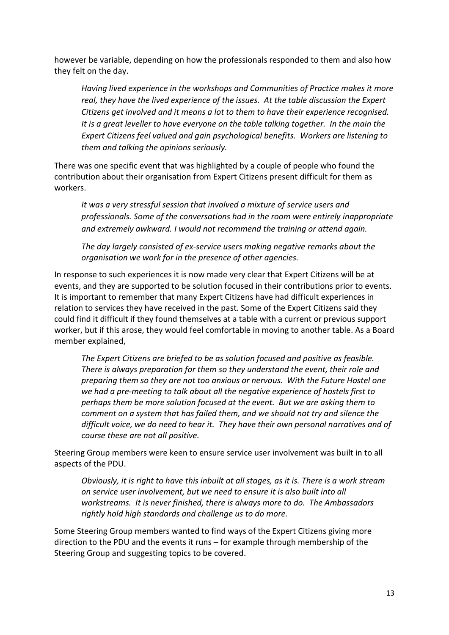however be variable, depending on how the professionals responded to them and also how they felt on the day.

Having lived experience in the workshops and Communities of Practice makes it more real, they have the lived experience of the issues. At the table discussion the Expert Citizens get involved and it means a lot to them to have their experience recognised. It is a great leveller to have everyone on the table talking together. In the main the Expert Citizens feel valued and gain psychological benefits. Workers are listening to them and talking the opinions seriously.

There was one specific event that was highlighted by a couple of people who found the contribution about their organisation from Expert Citizens present difficult for them as workers.

It was a very stressful session that involved a mixture of service users and professionals. Some of the conversations had in the room were entirely inappropriate and extremely awkward. I would not recommend the training or attend again.

The day largely consisted of ex-service users making negative remarks about the organisation we work for in the presence of other agencies.

In response to such experiences it is now made very clear that Expert Citizens will be at events, and they are supported to be solution focused in their contributions prior to events. It is important to remember that many Expert Citizens have had difficult experiences in relation to services they have received in the past. Some of the Expert Citizens said they could find it difficult if they found themselves at a table with a current or previous support worker, but if this arose, they would feel comfortable in moving to another table. As a Board member explained,

The Expert Citizens are briefed to be as solution focused and positive as feasible. There is always preparation for them so they understand the event, their role and preparing them so they are not too anxious or nervous. With the Future Hostel one we had a pre-meeting to talk about all the negative experience of hostels first to perhaps them be more solution focused at the event. But we are asking them to comment on a system that has failed them, and we should not try and silence the difficult voice, we do need to hear it. They have their own personal narratives and of course these are not all positive.

Steering Group members were keen to ensure service user involvement was built in to all aspects of the PDU.

Obviously, it is right to have this inbuilt at all stages, as it is. There is a work stream on service user involvement, but we need to ensure it is also built into all workstreams. It is never finished, there is always more to do. The Ambassadors rightly hold high standards and challenge us to do more.

Some Steering Group members wanted to find ways of the Expert Citizens giving more direction to the PDU and the events it runs – for example through membership of the Steering Group and suggesting topics to be covered.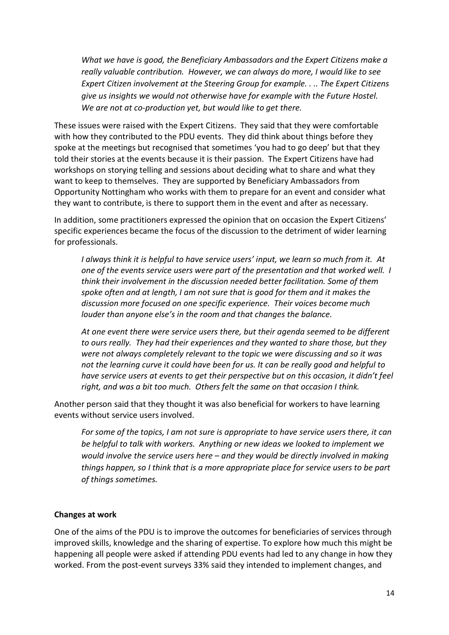What we have is good, the Beneficiary Ambassadors and the Expert Citizens make a really valuable contribution. However, we can always do more, I would like to see Expert Citizen involvement at the Steering Group for example. . .. The Expert Citizens give us insights we would not otherwise have for example with the Future Hostel. We are not at co-production yet, but would like to get there.

These issues were raised with the Expert Citizens. They said that they were comfortable with how they contributed to the PDU events. They did think about things before they spoke at the meetings but recognised that sometimes 'you had to go deep' but that they told their stories at the events because it is their passion. The Expert Citizens have had workshops on storying telling and sessions about deciding what to share and what they want to keep to themselves. They are supported by Beneficiary Ambassadors from Opportunity Nottingham who works with them to prepare for an event and consider what they want to contribute, is there to support them in the event and after as necessary.

In addition, some practitioners expressed the opinion that on occasion the Expert Citizens' specific experiences became the focus of the discussion to the detriment of wider learning for professionals.

I always think it is helpful to have service users' input, we learn so much from it. At one of the events service users were part of the presentation and that worked well. I think their involvement in the discussion needed better facilitation. Some of them spoke often and at length, I am not sure that is good for them and it makes the discussion more focused on one specific experience. Their voices become much louder than anyone else's in the room and that changes the balance.

At one event there were service users there, but their agenda seemed to be different to ours really. They had their experiences and they wanted to share those, but they were not always completely relevant to the topic we were discussing and so it was not the learning curve it could have been for us. It can be really good and helpful to have service users at events to get their perspective but on this occasion, it didn't feel right, and was a bit too much. Others felt the same on that occasion I think.

Another person said that they thought it was also beneficial for workers to have learning events without service users involved.

For some of the topics, I am not sure is appropriate to have service users there, it can be helpful to talk with workers. Anything or new ideas we looked to implement we would involve the service users here – and they would be directly involved in making things happen, so I think that is a more appropriate place for service users to be part of things sometimes.

#### Changes at work

One of the aims of the PDU is to improve the outcomes for beneficiaries of services through improved skills, knowledge and the sharing of expertise. To explore how much this might be happening all people were asked if attending PDU events had led to any change in how they worked. From the post-event surveys 33% said they intended to implement changes, and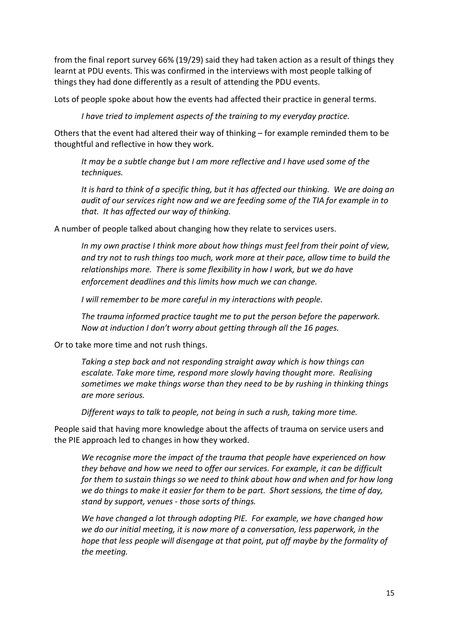from the final report survey 66% (19/29) said they had taken action as a result of things they learnt at PDU events. This was confirmed in the interviews with most people talking of things they had done differently as a result of attending the PDU events.

Lots of people spoke about how the events had affected their practice in general terms.

I have tried to implement aspects of the training to my everyday practice.

Others that the event had altered their way of thinking – for example reminded them to be thoughtful and reflective in how they work.

It may be a subtle change but I am more reflective and I have used some of the techniques.

It is hard to think of a specific thing, but it has affected our thinking. We are doing an audit of our services right now and we are feeding some of the TIA for example in to that. It has affected our way of thinking.

A number of people talked about changing how they relate to services users.

In my own practise I think more about how things must feel from their point of view, and try not to rush things too much, work more at their pace, allow time to build the relationships more. There is some flexibility in how I work, but we do have enforcement deadlines and this limits how much we can change.

I will remember to be more careful in my interactions with people.

The trauma informed practice taught me to put the person before the paperwork. Now at induction I don't worry about getting through all the 16 pages.

Or to take more time and not rush things.

Taking a step back and not responding straight away which is how things can escalate. Take more time, respond more slowly having thought more. Realising sometimes we make things worse than they need to be by rushing in thinking things are more serious.

Different ways to talk to people, not being in such a rush, taking more time.

People said that having more knowledge about the affects of trauma on service users and the PIE approach led to changes in how they worked.

We recognise more the impact of the trauma that people have experienced on how they behave and how we need to offer our services. For example, it can be difficult for them to sustain things so we need to think about how and when and for how long we do things to make it easier for them to be part. Short sessions, the time of day, stand by support, venues - those sorts of things.

We have changed a lot through adopting PIE. For example, we have changed how we do our initial meeting, it is now more of a conversation, less paperwork, in the hope that less people will disengage at that point, put off maybe by the formality of the meeting.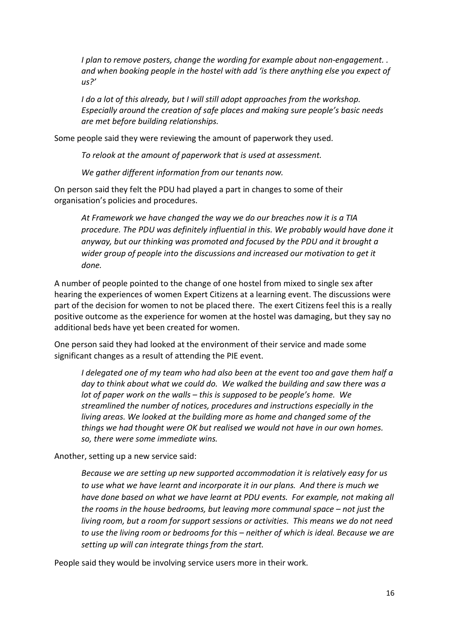I plan to remove posters, change the wording for example about non-engagement. . and when booking people in the hostel with add 'is there anything else you expect of  $US<sup>2</sup>$ 

I do a lot of this already, but I will still adopt approaches from the workshop. Especially around the creation of safe places and making sure people's basic needs are met before building relationships.

Some people said they were reviewing the amount of paperwork they used.

To relook at the amount of paperwork that is used at assessment.

We gather different information from our tenants now.

On person said they felt the PDU had played a part in changes to some of their organisation's policies and procedures.

At Framework we have changed the way we do our breaches now it is a TIA procedure. The PDU was definitely influential in this. We probably would have done it anyway, but our thinking was promoted and focused by the PDU and it brought a wider group of people into the discussions and increased our motivation to get it done.

A number of people pointed to the change of one hostel from mixed to single sex after hearing the experiences of women Expert Citizens at a learning event. The discussions were part of the decision for women to not be placed there. The exert Citizens feel this is a really positive outcome as the experience for women at the hostel was damaging, but they say no additional beds have yet been created for women.

One person said they had looked at the environment of their service and made some significant changes as a result of attending the PIE event.

I delegated one of my team who had also been at the event too and gave them half a day to think about what we could do. We walked the building and saw there was a lot of paper work on the walls – this is supposed to be people's home. We streamlined the number of notices, procedures and instructions especially in the living areas. We looked at the building more as home and changed some of the things we had thought were OK but realised we would not have in our own homes. so, there were some immediate wins.

Another, setting up a new service said:

Because we are setting up new supported accommodation it is relatively easy for us to use what we have learnt and incorporate it in our plans. And there is much we have done based on what we have learnt at PDU events. For example, not making all the rooms in the house bedrooms, but leaving more communal space – not just the living room, but a room for support sessions or activities. This means we do not need to use the living room or bedrooms for this – neither of which is ideal. Because we are setting up will can integrate things from the start.

People said they would be involving service users more in their work.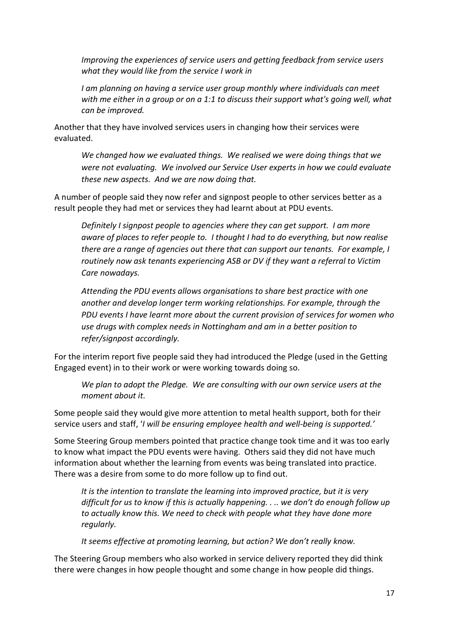Improving the experiences of service users and getting feedback from service users what they would like from the service I work in

I am planning on having a service user group monthly where individuals can meet with me either in a group or on a 1:1 to discuss their support what's going well, what can be improved.

Another that they have involved services users in changing how their services were evaluated.

We changed how we evaluated things. We realised we were doing things that we were not evaluating. We involved our Service User experts in how we could evaluate these new aspects. And we are now doing that.

A number of people said they now refer and signpost people to other services better as a result people they had met or services they had learnt about at PDU events.

Definitely I signpost people to agencies where they can get support. I am more aware of places to refer people to. I thought I had to do everything, but now realise there are a range of agencies out there that can support our tenants. For example, I routinely now ask tenants experiencing ASB or DV if they want a referral to Victim Care nowadays.

Attending the PDU events allows organisations to share best practice with one another and develop longer term working relationships. For example, through the PDU events I have learnt more about the current provision of services for women who use drugs with complex needs in Nottingham and am in a better position to refer/signpost accordingly.

For the interim report five people said they had introduced the Pledge (used in the Getting Engaged event) in to their work or were working towards doing so.

We plan to adopt the Pledge. We are consulting with our own service users at the moment about it.

Some people said they would give more attention to metal health support, both for their service users and staff, 'I will be ensuring employee health and well-being is supported.'

Some Steering Group members pointed that practice change took time and it was too early to know what impact the PDU events were having. Others said they did not have much information about whether the learning from events was being translated into practice. There was a desire from some to do more follow up to find out.

It is the intention to translate the learning into improved practice, but it is very difficult for us to know if this is actually happening. . .. we don't do enough follow up to actually know this. We need to check with people what they have done more regularly.

It seems effective at promoting learning, but action? We don't really know.

The Steering Group members who also worked in service delivery reported they did think there were changes in how people thought and some change in how people did things.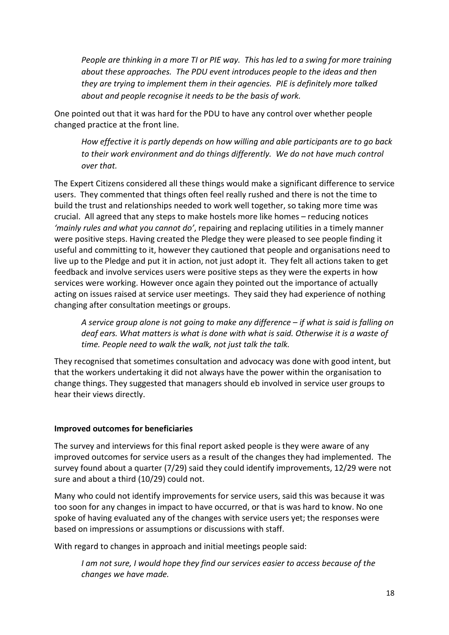People are thinking in a more TI or PIE way. This has led to a swing for more training about these approaches. The PDU event introduces people to the ideas and then they are trying to implement them in their agencies. PIE is definitely more talked about and people recognise it needs to be the basis of work.

One pointed out that it was hard for the PDU to have any control over whether people changed practice at the front line.

How effective it is partly depends on how willing and able participants are to go back to their work environment and do things differently. We do not have much control over that.

The Expert Citizens considered all these things would make a significant difference to service users. They commented that things often feel really rushed and there is not the time to build the trust and relationships needed to work well together, so taking more time was crucial. All agreed that any steps to make hostels more like homes – reducing notices 'mainly rules and what you cannot do', repairing and replacing utilities in a timely manner were positive steps. Having created the Pledge they were pleased to see people finding it useful and committing to it, however they cautioned that people and organisations need to live up to the Pledge and put it in action, not just adopt it. They felt all actions taken to get feedback and involve services users were positive steps as they were the experts in how services were working. However once again they pointed out the importance of actually acting on issues raised at service user meetings. They said they had experience of nothing changing after consultation meetings or groups.

A service group alone is not going to make any difference – if what is said is falling on deaf ears. What matters is what is done with what is said. Otherwise it is a waste of time. People need to walk the walk, not just talk the talk.

They recognised that sometimes consultation and advocacy was done with good intent, but that the workers undertaking it did not always have the power within the organisation to change things. They suggested that managers should eb involved in service user groups to hear their views directly.

## Improved outcomes for beneficiaries

The survey and interviews for this final report asked people is they were aware of any improved outcomes for service users as a result of the changes they had implemented. The survey found about a quarter (7/29) said they could identify improvements, 12/29 were not sure and about a third (10/29) could not.

Many who could not identify improvements for service users, said this was because it was too soon for any changes in impact to have occurred, or that is was hard to know. No one spoke of having evaluated any of the changes with service users yet; the responses were based on impressions or assumptions or discussions with staff.

With regard to changes in approach and initial meetings people said:

I am not sure, I would hope they find our services easier to access because of the changes we have made.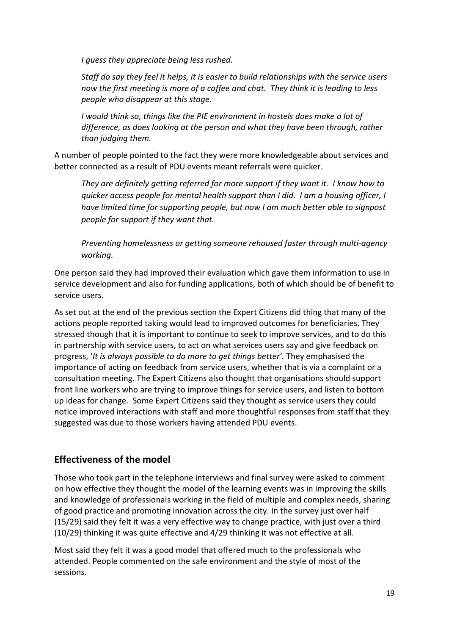I guess they appreciate being less rushed.

Staff do say they feel it helps, it is easier to build relationships with the service users now the first meeting is more of a coffee and chat. They think it is leading to less people who disappear at this stage.

I would think so, things like the PIE environment in hostels does make a lot of difference, as does looking at the person and what they have been through, rather than judging them.

A number of people pointed to the fact they were more knowledgeable about services and better connected as a result of PDU events meant referrals were quicker.

They are definitely getting referred for more support if they want it. I know how to quicker access people for mental health support than I did. I am a housing officer, I have limited time for supporting people, but now I am much better able to signpost people for support if they want that.

Preventing homelessness or getting someone rehoused faster through multi-agency working.

One person said they had improved their evaluation which gave them information to use in service development and also for funding applications, both of which should be of benefit to service users.

As set out at the end of the previous section the Expert Citizens did thing that many of the actions people reported taking would lead to improved outcomes for beneficiaries. They stressed though that it is important to continue to seek to improve services, and to do this in partnership with service users, to act on what services users say and give feedback on progress, 'It is always possible to do more to get things better'. They emphasised the importance of acting on feedback from service users, whether that is via a complaint or a consultation meeting. The Expert Citizens also thought that organisations should support front line workers who are trying to improve things for service users, and listen to bottom up ideas for change. Some Expert Citizens said they thought as service users they could notice improved interactions with staff and more thoughtful responses from staff that they suggested was due to those workers having attended PDU events.

# Effectiveness of the model

Those who took part in the telephone interviews and final survey were asked to comment on how effective they thought the model of the learning events was in improving the skills and knowledge of professionals working in the field of multiple and complex needs, sharing of good practice and promoting innovation across the city. In the survey just over half (15/29) said they felt it was a very effective way to change practice, with just over a third (10/29) thinking it was quite effective and 4/29 thinking it was not effective at all.

Most said they felt it was a good model that offered much to the professionals who attended. People commented on the safe environment and the style of most of the sessions.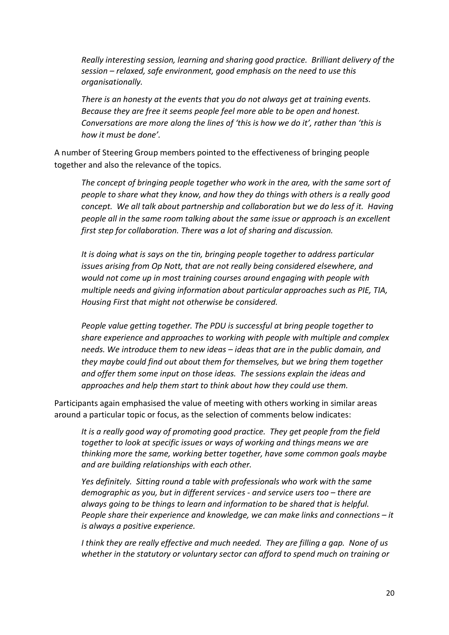Really interesting session, learning and sharing good practice. Brilliant delivery of the session – relaxed, safe environment, good emphasis on the need to use this organisationally.

There is an honesty at the events that you do not always get at training events. Because they are free it seems people feel more able to be open and honest. Conversations are more along the lines of 'this is how we do it', rather than 'this is how it must be done'.

A number of Steering Group members pointed to the effectiveness of bringing people together and also the relevance of the topics.

The concept of bringing people together who work in the area, with the same sort of people to share what they know, and how they do things with others is a really good concept. We all talk about partnership and collaboration but we do less of it. Having people all in the same room talking about the same issue or approach is an excellent first step for collaboration. There was a lot of sharing and discussion.

It is doing what is says on the tin, bringing people together to address particular issues arising from Op Nott, that are not really being considered elsewhere, and would not come up in most training courses around engaging with people with multiple needs and giving information about particular approaches such as PIE, TIA, Housing First that might not otherwise be considered.

People value getting together. The PDU is successful at bring people together to share experience and approaches to working with people with multiple and complex needs. We introduce them to new ideas – ideas that are in the public domain, and they maybe could find out about them for themselves, but we bring them together and offer them some input on those ideas. The sessions explain the ideas and approaches and help them start to think about how they could use them.

Participants again emphasised the value of meeting with others working in similar areas around a particular topic or focus, as the selection of comments below indicates:

It is a really good way of promoting good practice. They get people from the field together to look at specific issues or ways of working and things means we are thinking more the same, working better together, have some common goals maybe and are building relationships with each other.

Yes definitely. Sitting round a table with professionals who work with the same demographic as you, but in different services - and service users too – there are always going to be things to learn and information to be shared that is helpful. People share their experience and knowledge, we can make links and connections – it is always a positive experience.

I think they are really effective and much needed. They are filling a gap. None of us whether in the statutory or voluntary sector can afford to spend much on training or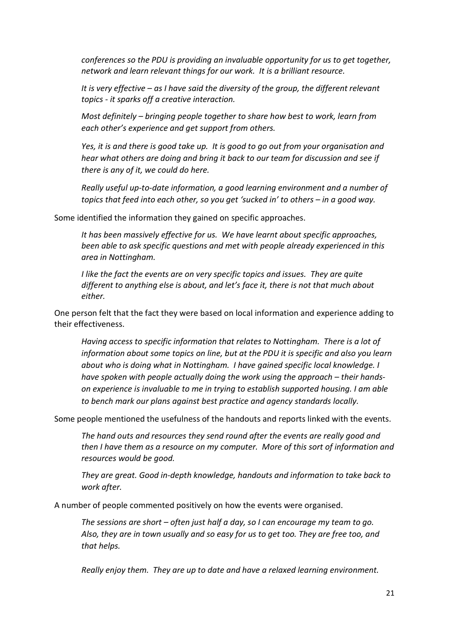conferences so the PDU is providing an invaluable opportunity for us to get together, network and learn relevant things for our work. It is a brilliant resource.

It is very effective  $-$  as I have said the diversity of the group, the different relevant topics - it sparks off a creative interaction.

Most definitely – bringing people together to share how best to work, learn from each other's experience and get support from others.

Yes, it is and there is good take up. It is good to go out from your organisation and hear what others are doing and bring it back to our team for discussion and see if there is any of it, we could do here.

Really useful up-to-date information, a good learning environment and a number of topics that feed into each other, so you get 'sucked in' to others – in a good way.

Some identified the information they gained on specific approaches.

It has been massively effective for us. We have learnt about specific approaches, been able to ask specific questions and met with people already experienced in this area in Nottingham.

I like the fact the events are on very specific topics and issues. They are quite different to anything else is about, and let's face it, there is not that much about either.

One person felt that the fact they were based on local information and experience adding to their effectiveness.

Having access to specific information that relates to Nottingham. There is a lot of information about some topics on line, but at the PDU it is specific and also you learn about who is doing what in Nottingham. I have gained specific local knowledge. I have spoken with people actually doing the work using the approach – their handson experience is invaluable to me in trying to establish supported housing. I am able to bench mark our plans against best practice and agency standards locally.

Some people mentioned the usefulness of the handouts and reports linked with the events.

The hand outs and resources they send round after the events are really good and then I have them as a resource on my computer. More of this sort of information and resources would be good.

They are great. Good in-depth knowledge, handouts and information to take back to work after.

A number of people commented positively on how the events were organised.

The sessions are short – often just half a day, so I can encourage my team to go. Also, they are in town usually and so easy for us to get too. They are free too, and that helps.

Really enjoy them. They are up to date and have a relaxed learning environment.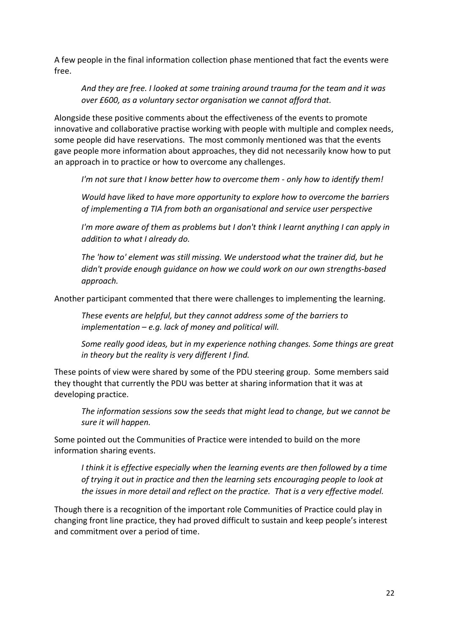A few people in the final information collection phase mentioned that fact the events were free.

And they are free. I looked at some training around trauma for the team and it was over £600, as a voluntary sector organisation we cannot afford that.

Alongside these positive comments about the effectiveness of the events to promote innovative and collaborative practise working with people with multiple and complex needs, some people did have reservations. The most commonly mentioned was that the events gave people more information about approaches, they did not necessarily know how to put an approach in to practice or how to overcome any challenges.

I'm not sure that I know better how to overcome them - only how to identify them!

Would have liked to have more opportunity to explore how to overcome the barriers of implementing a TIA from both an organisational and service user perspective

I'm more aware of them as problems but I don't think I learnt anything I can apply in addition to what I already do.

The 'how to' element was still missing. We understood what the trainer did, but he didn't provide enough guidance on how we could work on our own strengths-based approach.

Another participant commented that there were challenges to implementing the learning.

These events are helpful, but they cannot address some of the barriers to  $implementation - e.g.$  lack of money and political will.

Some really good ideas, but in my experience nothing changes. Some things are great in theory but the reality is very different I find.

These points of view were shared by some of the PDU steering group. Some members said they thought that currently the PDU was better at sharing information that it was at developing practice.

The information sessions sow the seeds that might lead to change, but we cannot be sure it will happen.

Some pointed out the Communities of Practice were intended to build on the more information sharing events.

I think it is effective especially when the learning events are then followed by a time of trying it out in practice and then the learning sets encouraging people to look at the issues in more detail and reflect on the practice. That is a very effective model.

Though there is a recognition of the important role Communities of Practice could play in changing front line practice, they had proved difficult to sustain and keep people's interest and commitment over a period of time.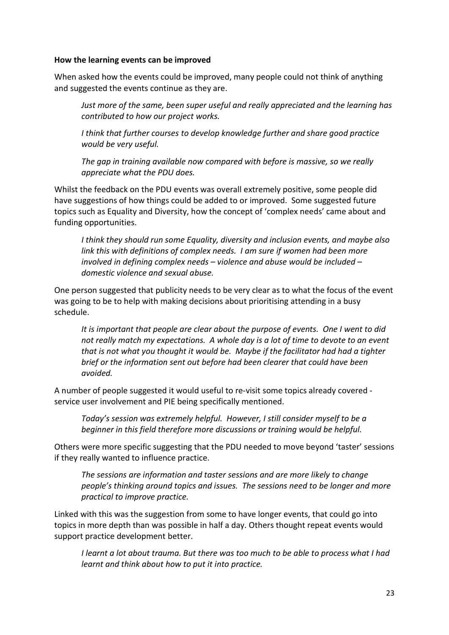#### How the learning events can be improved

When asked how the events could be improved, many people could not think of anything and suggested the events continue as they are.

Just more of the same, been super useful and really appreciated and the learning has contributed to how our project works.

I think that further courses to develop knowledge further and share good practice would be very useful.

The gap in training available now compared with before is massive, so we really appreciate what the PDU does.

Whilst the feedback on the PDU events was overall extremely positive, some people did have suggestions of how things could be added to or improved. Some suggested future topics such as Equality and Diversity, how the concept of 'complex needs' came about and funding opportunities.

I think they should run some Equality, diversity and inclusion events, and maybe also link this with definitions of complex needs. I am sure if women had been more involved in defining complex needs – violence and abuse would be included – domestic violence and sexual abuse.

One person suggested that publicity needs to be very clear as to what the focus of the event was going to be to help with making decisions about prioritising attending in a busy schedule.

It is important that people are clear about the purpose of events. One I went to did not really match my expectations. A whole day is a lot of time to devote to an event that is not what you thought it would be. Maybe if the facilitator had had a tighter brief or the information sent out before had been clearer that could have been avoided.

A number of people suggested it would useful to re-visit some topics already covered service user involvement and PIE being specifically mentioned.

Today's session was extremely helpful. However, I still consider myself to be a beginner in this field therefore more discussions or training would be helpful.

Others were more specific suggesting that the PDU needed to move beyond 'taster' sessions if they really wanted to influence practice.

The sessions are information and taster sessions and are more likely to change people's thinking around topics and issues. The sessions need to be longer and more practical to improve practice.

Linked with this was the suggestion from some to have longer events, that could go into topics in more depth than was possible in half a day. Others thought repeat events would support practice development better.

I learnt a lot about trauma. But there was too much to be able to process what I had learnt and think about how to put it into practice.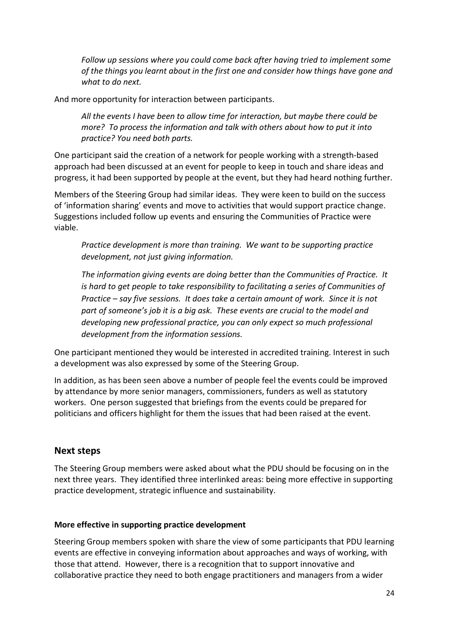Follow up sessions where you could come back after having tried to implement some of the things you learnt about in the first one and consider how things have gone and what to do next.

And more opportunity for interaction between participants.

All the events I have been to allow time for interaction, but maybe there could be more? To process the information and talk with others about how to put it into practice? You need both parts.

One participant said the creation of a network for people working with a strength-based approach had been discussed at an event for people to keep in touch and share ideas and progress, it had been supported by people at the event, but they had heard nothing further.

Members of the Steering Group had similar ideas. They were keen to build on the success of 'information sharing' events and move to activities that would support practice change. Suggestions included follow up events and ensuring the Communities of Practice were viable.

Practice development is more than training. We want to be supporting practice development, not just giving information.

The information giving events are doing better than the Communities of Practice. It is hard to get people to take responsibility to facilitating a series of Communities of Practice – say five sessions. It does take a certain amount of work. Since it is not part of someone's job it is a big ask. These events are crucial to the model and developing new professional practice, you can only expect so much professional development from the information sessions.

One participant mentioned they would be interested in accredited training. Interest in such a development was also expressed by some of the Steering Group.

In addition, as has been seen above a number of people feel the events could be improved by attendance by more senior managers, commissioners, funders as well as statutory workers. One person suggested that briefings from the events could be prepared for politicians and officers highlight for them the issues that had been raised at the event.

## Next steps

The Steering Group members were asked about what the PDU should be focusing on in the next three years. They identified three interlinked areas: being more effective in supporting practice development, strategic influence and sustainability.

#### More effective in supporting practice development

Steering Group members spoken with share the view of some participants that PDU learning events are effective in conveying information about approaches and ways of working, with those that attend. However, there is a recognition that to support innovative and collaborative practice they need to both engage practitioners and managers from a wider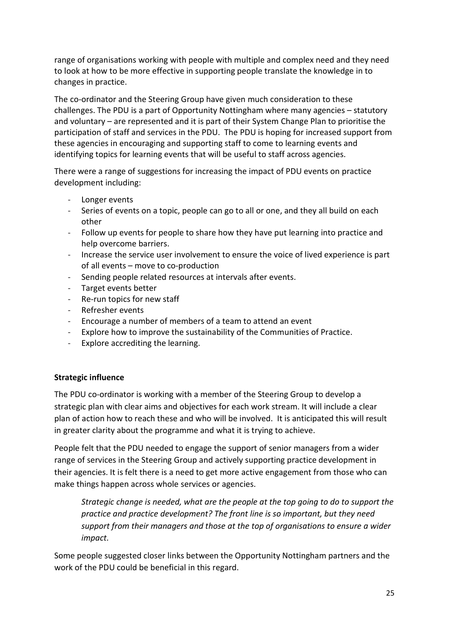range of organisations working with people with multiple and complex need and they need to look at how to be more effective in supporting people translate the knowledge in to changes in practice.

The co-ordinator and the Steering Group have given much consideration to these challenges. The PDU is a part of Opportunity Nottingham where many agencies – statutory and voluntary – are represented and it is part of their System Change Plan to prioritise the participation of staff and services in the PDU. The PDU is hoping for increased support from these agencies in encouraging and supporting staff to come to learning events and identifying topics for learning events that will be useful to staff across agencies.

There were a range of suggestions for increasing the impact of PDU events on practice development including:

- Longer events
- Series of events on a topic, people can go to all or one, and they all build on each other
- Follow up events for people to share how they have put learning into practice and help overcome barriers.
- Increase the service user involvement to ensure the voice of lived experience is part of all events – move to co-production
- Sending people related resources at intervals after events.
- Target events better
- Re-run topics for new staff
- Refresher events
- Encourage a number of members of a team to attend an event
- Explore how to improve the sustainability of the Communities of Practice.
- Explore accrediting the learning.

#### Strategic influence

The PDU co-ordinator is working with a member of the Steering Group to develop a strategic plan with clear aims and objectives for each work stream. It will include a clear plan of action how to reach these and who will be involved. It is anticipated this will result in greater clarity about the programme and what it is trying to achieve.

People felt that the PDU needed to engage the support of senior managers from a wider range of services in the Steering Group and actively supporting practice development in their agencies. It is felt there is a need to get more active engagement from those who can make things happen across whole services or agencies.

Strategic change is needed, what are the people at the top going to do to support the practice and practice development? The front line is so important, but they need support from their managers and those at the top of organisations to ensure a wider impact.

Some people suggested closer links between the Opportunity Nottingham partners and the work of the PDU could be beneficial in this regard.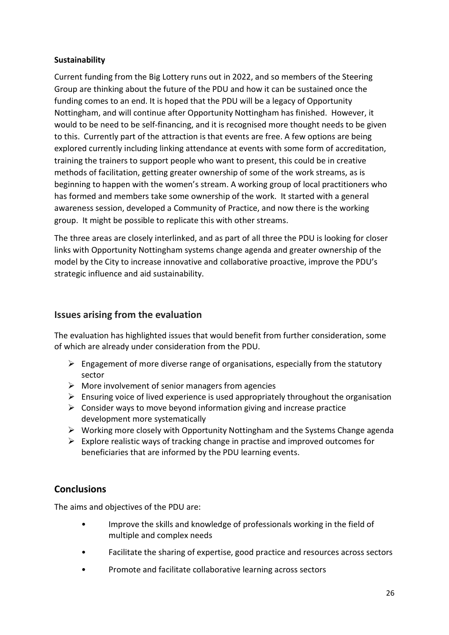## Sustainability

Current funding from the Big Lottery runs out in 2022, and so members of the Steering Group are thinking about the future of the PDU and how it can be sustained once the funding comes to an end. It is hoped that the PDU will be a legacy of Opportunity Nottingham, and will continue after Opportunity Nottingham has finished. However, it would to be need to be self-financing, and it is recognised more thought needs to be given to this. Currently part of the attraction is that events are free. A few options are being explored currently including linking attendance at events with some form of accreditation, training the trainers to support people who want to present, this could be in creative methods of facilitation, getting greater ownership of some of the work streams, as is beginning to happen with the women's stream. A working group of local practitioners who has formed and members take some ownership of the work. It started with a general awareness session, developed a Community of Practice, and now there is the working group. It might be possible to replicate this with other streams.

The three areas are closely interlinked, and as part of all three the PDU is looking for closer links with Opportunity Nottingham systems change agenda and greater ownership of the model by the City to increase innovative and collaborative proactive, improve the PDU's strategic influence and aid sustainability.

## Issues arising from the evaluation

The evaluation has highlighted issues that would benefit from further consideration, some of which are already under consideration from the PDU.

- $\triangleright$  Engagement of more diverse range of organisations, especially from the statutory sector
- $\triangleright$  More involvement of senior managers from agencies
- $\triangleright$  Ensuring voice of lived experience is used appropriately throughout the organisation
- $\triangleright$  Consider ways to move beyond information giving and increase practice development more systematically
- $\triangleright$  Working more closely with Opportunity Nottingham and the Systems Change agenda
- $\triangleright$  Explore realistic ways of tracking change in practise and improved outcomes for beneficiaries that are informed by the PDU learning events.

# **Conclusions**

The aims and objectives of the PDU are:

- Improve the skills and knowledge of professionals working in the field of multiple and complex needs
- Facilitate the sharing of expertise, good practice and resources across sectors
- Promote and facilitate collaborative learning across sectors